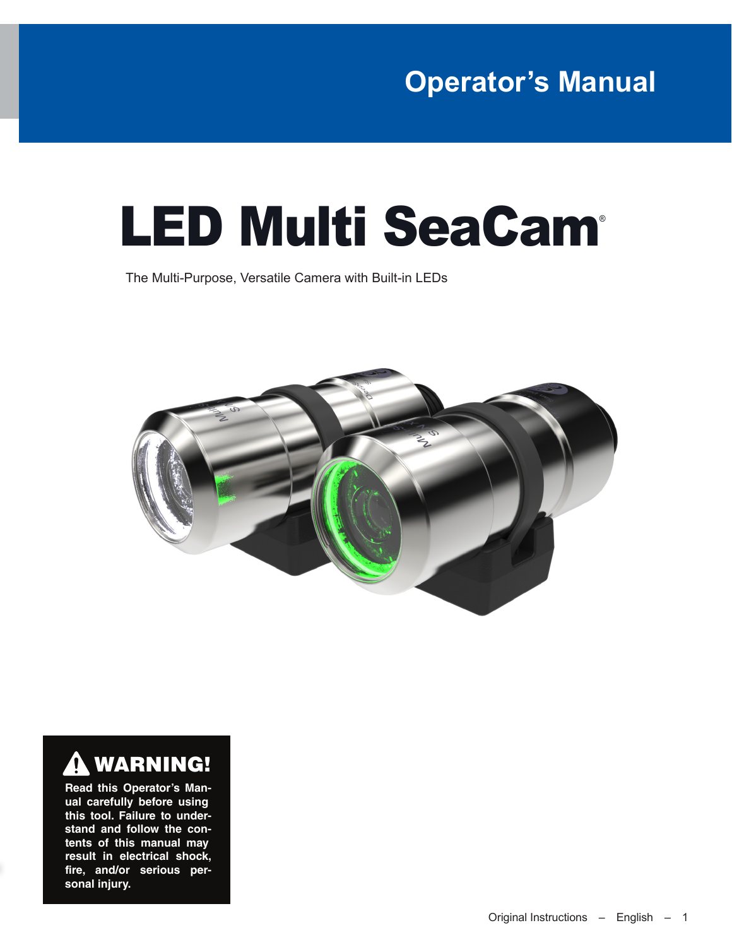## **Operator's Manual**

# LED Multi SeaCam®

The Multi-Purpose, Versatile Camera with Built-in LEDs





**Read this Operator's Manual carefully before using this tool. Failure to understand and follow the contents of this manual may result in electrical shock, fire, and/or serious personal injury.**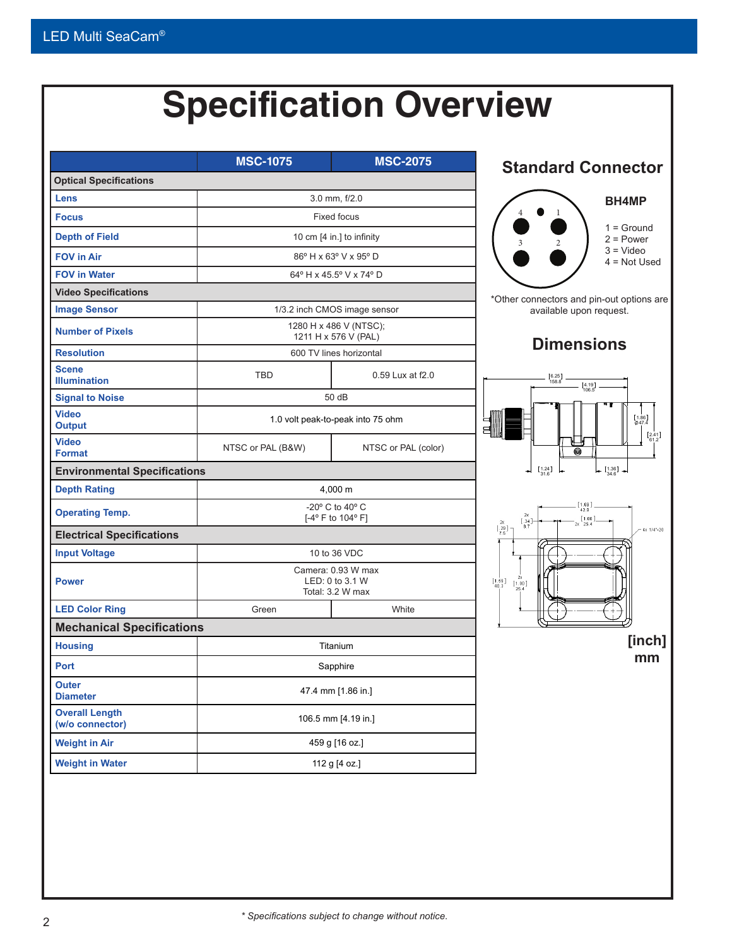## **Specification Overview**

<span id="page-1-0"></span>

|                                          | <b>MSC-1075</b>                                           | <b>MSC-2075</b>     |  |
|------------------------------------------|-----------------------------------------------------------|---------------------|--|
| <b>Optical Specifications</b>            |                                                           |                     |  |
| Lens                                     |                                                           | 3.0 mm, f/2.0       |  |
| <b>Focus</b>                             |                                                           | <b>Fixed focus</b>  |  |
| <b>Depth of Field</b>                    | 10 cm [4 in.] to infinity                                 |                     |  |
| <b>FOV in Air</b>                        | 86° H x 63° V x 95° D                                     |                     |  |
| <b>FOV in Water</b>                      | 64° H x 45.5° V x 74° D                                   |                     |  |
| <b>Video Specifications</b>              |                                                           |                     |  |
| <b>Image Sensor</b>                      | 1/3.2 inch CMOS image sensor                              |                     |  |
| <b>Number of Pixels</b>                  | 1280 H x 486 V (NTSC);<br>1211 H x 576 V (PAL)            |                     |  |
| <b>Resolution</b>                        | 600 TV lines horizontal                                   |                     |  |
| <b>Scene</b><br><b>Illumination</b>      | <b>TBD</b>                                                | 0.59 Lux at f2.0    |  |
| <b>Signal to Noise</b>                   | 50 dB                                                     |                     |  |
| <b>Video</b><br><b>Output</b>            | 1.0 volt peak-to-peak into 75 ohm                         |                     |  |
| <b>Video</b><br><b>Format</b>            | NTSC or PAL (B&W)                                         | NTSC or PAL (color) |  |
| <b>Environmental Specifications</b>      |                                                           |                     |  |
| <b>Depth Rating</b>                      | 4,000 m                                                   |                     |  |
| <b>Operating Temp.</b>                   | -20° C to 40° C<br>[-4° F to 104° F]                      |                     |  |
| <b>Electrical Specifications</b>         |                                                           |                     |  |
| <b>Input Voltage</b>                     |                                                           | 10 to 36 VDC        |  |
| <b>Power</b>                             | Camera: 0.93 W max<br>LED: 0 to 3.1 W<br>Total: 3.2 W max |                     |  |
| <b>LED Color Ring</b>                    | Green                                                     | White               |  |
| <b>Mechanical Specifications</b>         |                                                           |                     |  |
| <b>Housing</b>                           | Titanium                                                  |                     |  |
| <b>Port</b>                              | Sapphire                                                  |                     |  |
| Outer<br><b>Diameter</b>                 | 47.4 mm [1.86 in.]                                        |                     |  |
| <b>Overall Length</b><br>(w/o connector) | 106.5 mm [4.19 in.]                                       |                     |  |
| <b>Weight in Air</b>                     | 459 g [16 oz.]                                            |                     |  |
|                                          |                                                           |                     |  |

#### **Standard Connector**

#### **BH4MP**



2 = Power 3 = Video

4 = Not Used

er connectors and pin-out options are available upon request.

#### **Dimensions**



**[inch] mm**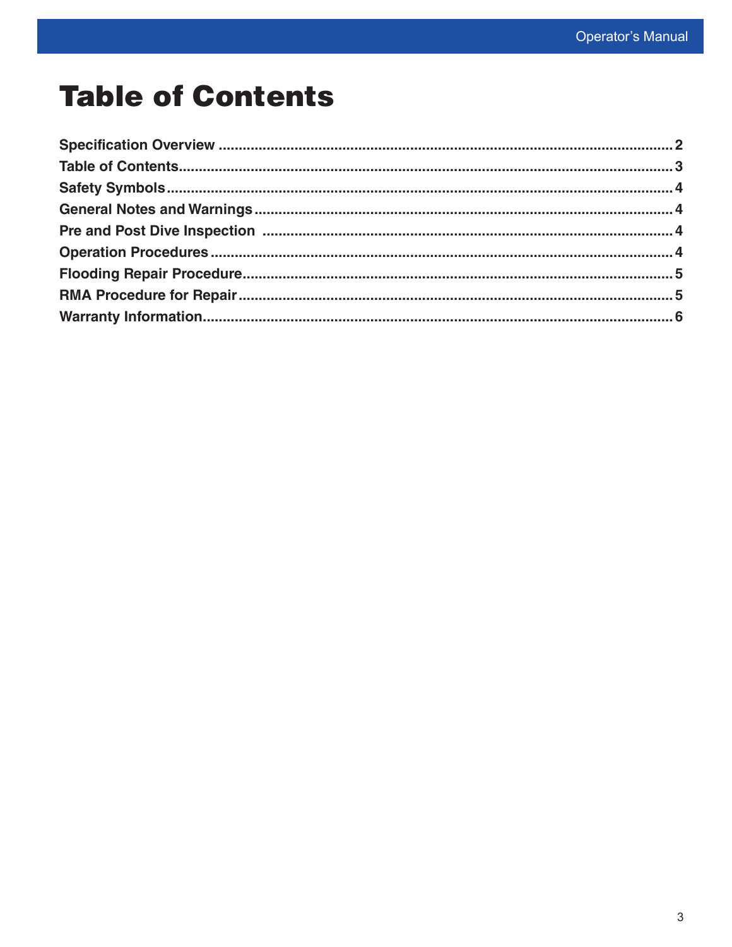## **Table of Contents**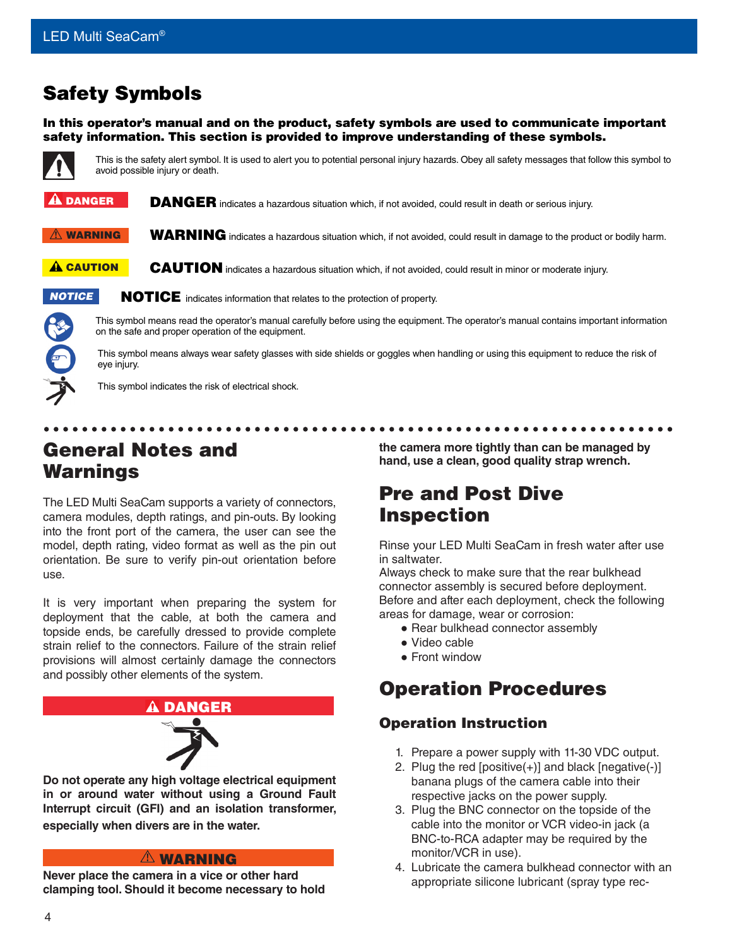#### <span id="page-3-0"></span>Safety Symbols

In this operator's manual and on the product, safety symbols are used to communicate important safety information. This section is provided to improve understanding of these symbols.



This is the safety alert symbol. It is used to alert you to potential personal injury hazards. Obey all safety messages that follow this symbol to avoid possible injury or death.

DANGER indicates a hazardous situation which, if not avoided, could result in death or serious injury.  $\mathbf A$  danger

- WARNING indicates a hazardous situation which, if not avoided, could result in damage to the product or bodily harm.  $\triangle$  WARNING
- CAUTION indicates a hazardous situation which, if not avoided, could result in minor or moderate injury. **A** CAUTION
- *NOTICE*

NOTICE indicates information that relates to the protection of property.



This symbol means read the operator's manual carefully before using the equipment. The operator's manual contains important information on the safe and proper operation of the equipment.

This symbol means always wear safety glasses with side shields or goggles when handling or using this equipment to reduce the risk of eye injury.



#### General Notes and Warnings

The LED Multi SeaCam supports a variety of connectors, camera modules, depth ratings, and pin-outs. By looking into the front port of the camera, the user can see the model, depth rating, video format as well as the pin out orientation. Be sure to verify pin-out orientation before use.

It is very important when preparing the system for deployment that the cable, at both the camera and topside ends, be carefully dressed to provide complete strain relief to the connectors. Failure of the strain relief provisions will almost certainly damage the connectors and possibly other elements of the system.



**Do not operate any high voltage electrical equipment in or around water without using a Ground Fault Interrupt circuit (GFI) and an isolation transformer, especially when divers are in the water.**

#### **A WARNING**

**Never place the camera in a vice or other hard clamping tool. Should it become necessary to hold**  **the camera more tightly than can be managed by hand, use a clean, good quality strap wrench.**

#### Pre and Post Dive Inspection

Rinse your LED Multi SeaCam in fresh water after use in saltwater.

Always check to make sure that the rear bulkhead connector assembly is secured before deployment. Before and after each deployment, check the following areas for damage, wear or corrosion:

- Rear bulkhead connector assembly
- Video cable
- Front window

#### Operation Procedures

#### Operation Instruction

- 1. Prepare a power supply with 11-30 VDC output.
- 2. Plug the red  $[positive(+)]$  and black  $[negative(-)]$ banana plugs of the camera cable into their respective jacks on the power supply.
- 3. Plug the BNC connector on the topside of the cable into the monitor or VCR video-in jack (a BNC-to-RCA adapter may be required by the monitor/VCR in use).
- 4. Lubricate the camera bulkhead connector with an appropriate silicone lubricant (spray type rec-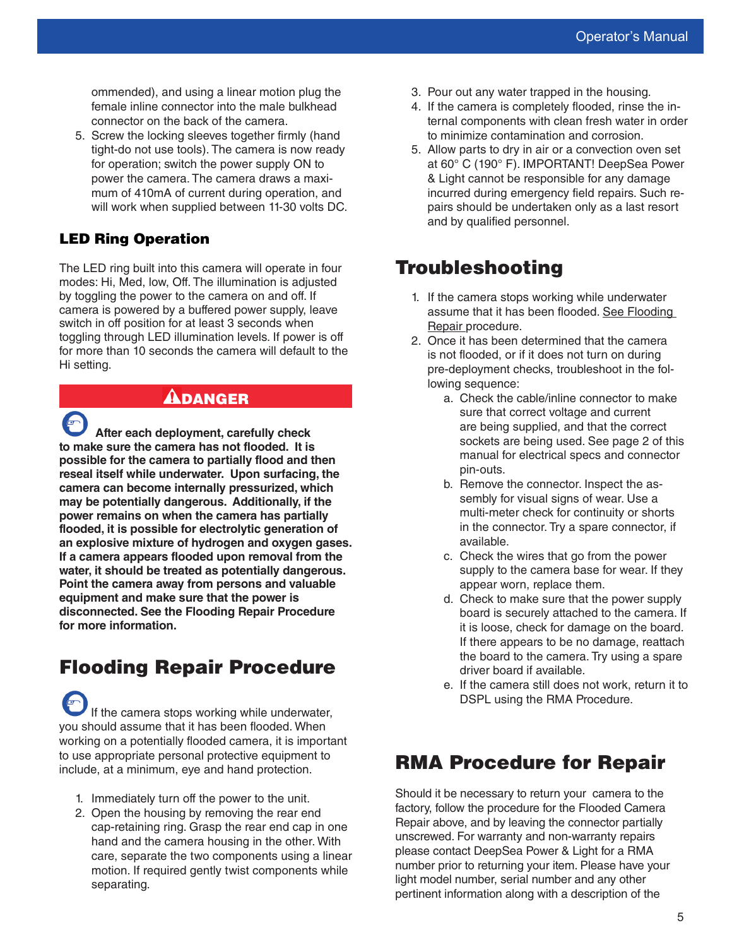<span id="page-4-0"></span>ommended), and using a linear motion plug the female inline connector into the male bulkhead connector on the back of the camera.

5. Screw the locking sleeves together firmly (hand tight-do not use tools). The camera is now ready for operation; switch the power supply ON to power the camera. The camera draws a maximum of 410mA of current during operation, and will work when supplied between 11-30 volts DC.

#### LED Ring Operation

The LED ring built into this camera will operate in four modes: Hi, Med, low, Off. The illumination is adjusted by toggling the power to the camera on and off. If camera is powered by a buffered power supply, leave switch in off position for at least 3 seconds when toggling through LED illumination levels. If power is off for more than 10 seconds the camera will default to the Hi setting.

#### DANGER

**After each deployment, carefully check to make sure the camera has not flooded. It is possible for the camera to partially flood and then reseal itself while underwater. Upon surfacing, the camera can become internally pressurized, which may be potentially dangerous. Additionally, if the power remains on when the camera has partially flooded, it is possible for electrolytic generation of an explosive mixture of hydrogen and oxygen gases. If a camera appears flooded upon removal from the water, it should be treated as potentially dangerous. Point the camera away from persons and valuable equipment and make sure that the power is disconnected. See the Flooding Repair Procedure for more information.**

#### Flooding Repair Procedure

If the camera stops working while underwater, you should assume that it has been flooded. When working on a potentially flooded camera, it is important to use appropriate personal protective equipment to include, at a minimum, eye and hand protection.

- 1. Immediately turn off the power to the unit.
- 2. Open the housing by removing the rear end cap-retaining ring. Grasp the rear end cap in one hand and the camera housing in the other. With care, separate the two components using a linear motion. If required gently twist components while separating.
- 3. Pour out any water trapped in the housing.
- 4. If the camera is completely flooded, rinse the internal components with clean fresh water in order to minimize contamination and corrosion.
- 5. Allow parts to dry in air or a convection oven set at 60° C (190° F). IMPORTANT! DeepSea Power & Light cannot be responsible for any damage incurred during emergency field repairs. Such repairs should be undertaken only as a last resort and by qualified personnel.

#### Troubleshooting

- 1. If the camera stops working while underwater assume that it has been flooded. See Flooding Repair procedure.
- 2. Once it has been determined that the camera is not flooded, or if it does not turn on during pre-deployment checks, troubleshoot in the following sequence:
	- a. Check the cable/inline connector to make sure that correct voltage and current are being supplied, and that the correct sockets are being used. See page 2 of this manual for electrical specs and connector pin-outs.
	- b. Remove the connector. Inspect the assembly for visual signs of wear. Use a multi-meter check for continuity or shorts in the connector. Try a spare connector, if available.
	- c. Check the wires that go from the power supply to the camera base for wear. If they appear worn, replace them.
	- d. Check to make sure that the power supply board is securely attached to the camera. If it is loose, check for damage on the board. If there appears to be no damage, reattach the board to the camera. Try using a spare driver board if available.
	- e. If the camera still does not work, return it to DSPL using the RMA Procedure.

#### RMA Procedure for Repair

Should it be necessary to return your camera to the factory, follow the procedure for the Flooded Camera Repair above, and by leaving the connector partially unscrewed. For warranty and non-warranty repairs please contact DeepSea Power & Light for a RMA number prior to returning your item. Please have your light model number, serial number and any other pertinent information along with a description of the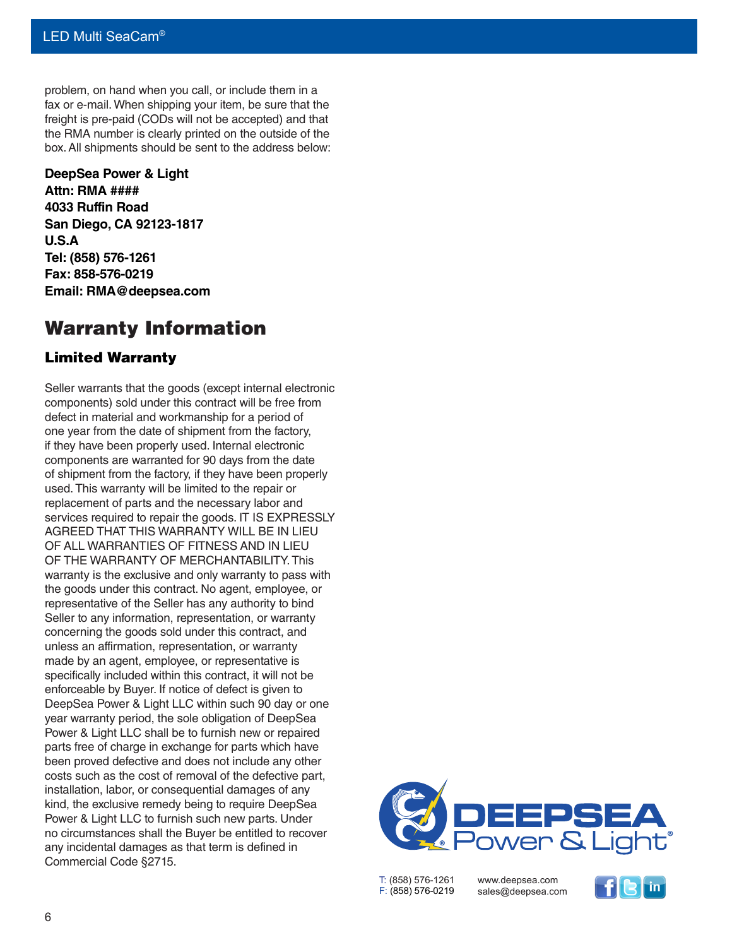<span id="page-5-0"></span>problem, on hand when you call, or include them in a fax or e-mail. When shipping your item, be sure that the freight is pre-paid (CODs will not be accepted) and that the RMA number is clearly printed on the outside of the box. All shipments should be sent to the address below:

**DeepSea Power & Light Attn: RMA #### 4033 Ruffin Road San Diego, CA 92123-1817 U.S.A Tel: (858) 576-1261 Fax: 858-576-0219 Email: RMA@deepsea.com**

#### Warranty Information

#### Limited Warranty

Seller warrants that the goods (except internal electronic components) sold under this contract will be free from defect in material and workmanship for a period of one year from the date of shipment from the factory, if they have been properly used. Internal electronic components are warranted for 90 days from the date of shipment from the factory, if they have been properly used. This warranty will be limited to the repair or replacement of parts and the necessary labor and services required to repair the goods. IT IS EXPRESSLY AGREED THAT THIS WARRANTY WILL BE IN LIEU OF ALL WARRANTIES OF FITNESS AND IN LIEU OF THE WARRANTY OF MERCHANTABILITY. This warranty is the exclusive and only warranty to pass with the goods under this contract. No agent, employee, or representative of the Seller has any authority to bind Seller to any information, representation, or warranty concerning the goods sold under this contract, and unless an affirmation, representation, or warranty made by an agent, employee, or representative is specifically included within this contract, it will not be enforceable by Buyer. If notice of defect is given to DeepSea Power & Light LLC within such 90 day or one year warranty period, the sole obligation of DeepSea Power & Light LLC shall be to furnish new or repaired parts free of charge in exchange for parts which have been proved defective and does not include any other costs such as the cost of removal of the defective part, installation, labor, or consequential damages of any kind, the exclusive remedy being to require DeepSea Power & Light LLC to furnish such new parts. Under no circumstances shall the Buyer be entitled to recover any incidental damages as that term is defined in Commercial Code §2715.



T: (858) 576-1261 F: (858) 576-0219 www.deepsea.com sales@deepsea.com